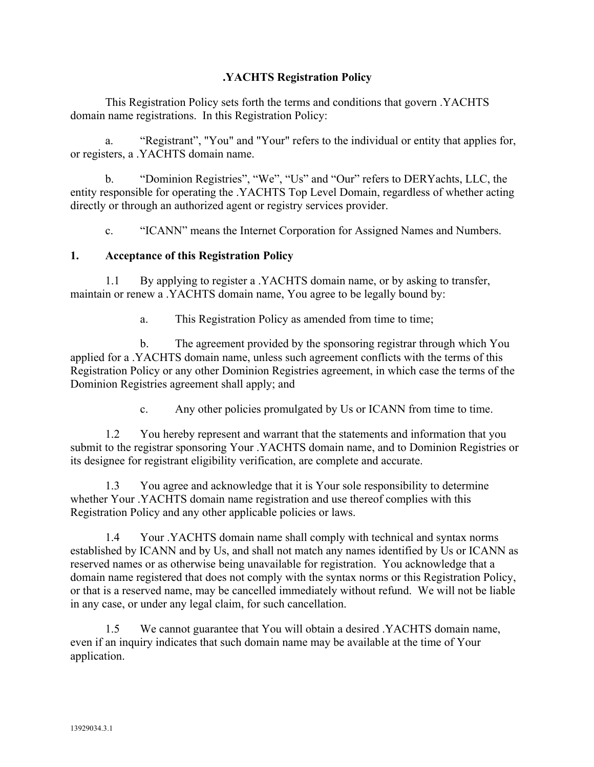## **.YACHTS Registration Policy**

This Registration Policy sets forth the terms and conditions that govern .YACHTS domain name registrations. In this Registration Policy:

a. "Registrant", "You" and "Your" refers to the individual or entity that applies for, or registers, a .YACHTS domain name.

b. "Dominion Registries", "We", "Us" and "Our" refers to DERYachts, LLC, the entity responsible for operating the .YACHTS Top Level Domain, regardless of whether acting directly or through an authorized agent or registry services provider.

c. "ICANN" means the Internet Corporation for Assigned Names and Numbers.

#### **1. Acceptance of this Registration Policy**

1.1 By applying to register a .YACHTS domain name, or by asking to transfer, maintain or renew a .YACHTS domain name, You agree to be legally bound by:

a. This Registration Policy as amended from time to time;

b. The agreement provided by the sponsoring registrar through which You applied for a .YACHTS domain name, unless such agreement conflicts with the terms of this Registration Policy or any other Dominion Registries agreement, in which case the terms of the Dominion Registries agreement shall apply; and

c. Any other policies promulgated by Us or ICANN from time to time.

1.2 You hereby represent and warrant that the statements and information that you submit to the registrar sponsoring Your .YACHTS domain name, and to Dominion Registries or its designee for registrant eligibility verification, are complete and accurate.

1.3 You agree and acknowledge that it is Your sole responsibility to determine whether Your .YACHTS domain name registration and use thereof complies with this Registration Policy and any other applicable policies or laws.

1.4 Your .YACHTS domain name shall comply with technical and syntax norms established by ICANN and by Us, and shall not match any names identified by Us or ICANN as reserved names or as otherwise being unavailable for registration. You acknowledge that a domain name registered that does not comply with the syntax norms or this Registration Policy, or that is a reserved name, may be cancelled immediately without refund. We will not be liable in any case, or under any legal claim, for such cancellation.

1.5 We cannot guarantee that You will obtain a desired .YACHTS domain name, even if an inquiry indicates that such domain name may be available at the time of Your application.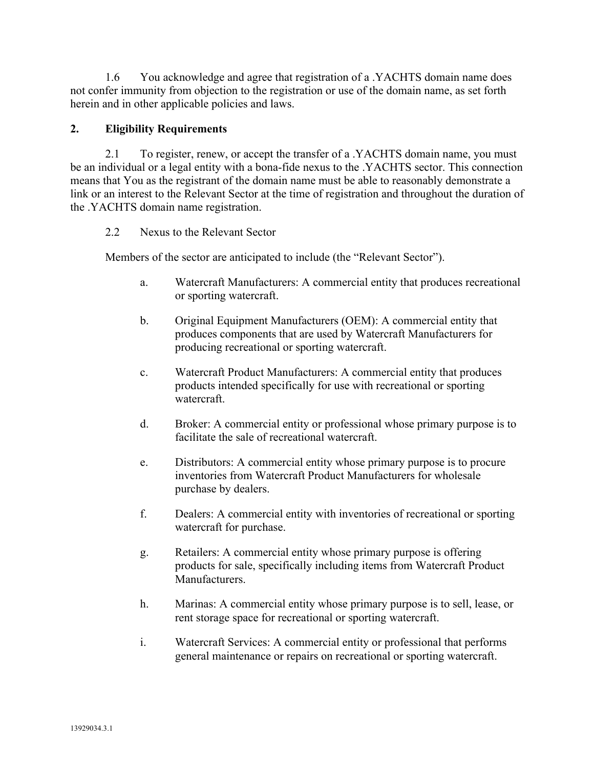1.6 You acknowledge and agree that registration of a .YACHTS domain name does not confer immunity from objection to the registration or use of the domain name, as set forth herein and in other applicable policies and laws.

## **2. Eligibility Requirements**

2.1 To register, renew, or accept the transfer of a .YACHTS domain name, you must be an individual or a legal entity with a bona-fide nexus to the .YACHTS sector. This connection means that You as the registrant of the domain name must be able to reasonably demonstrate a link or an interest to the Relevant Sector at the time of registration and throughout the duration of the .YACHTS domain name registration.

## 2.2 Nexus to the Relevant Sector

Members of the sector are anticipated to include (the "Relevant Sector").

- a. Watercraft Manufacturers: A commercial entity that produces recreational or sporting watercraft.
- b. Original Equipment Manufacturers (OEM): A commercial entity that produces components that are used by Watercraft Manufacturers for producing recreational or sporting watercraft.
- c. Watercraft Product Manufacturers: A commercial entity that produces products intended specifically for use with recreational or sporting watercraft.
- d. Broker: A commercial entity or professional whose primary purpose is to facilitate the sale of recreational watercraft.
- e. Distributors: A commercial entity whose primary purpose is to procure inventories from Watercraft Product Manufacturers for wholesale purchase by dealers.
- f. Dealers: A commercial entity with inventories of recreational or sporting watercraft for purchase.
- g. Retailers: A commercial entity whose primary purpose is offering products for sale, specifically including items from Watercraft Product Manufacturers.
- h. Marinas: A commercial entity whose primary purpose is to sell, lease, or rent storage space for recreational or sporting watercraft.
- i. Watercraft Services: A commercial entity or professional that performs general maintenance or repairs on recreational or sporting watercraft.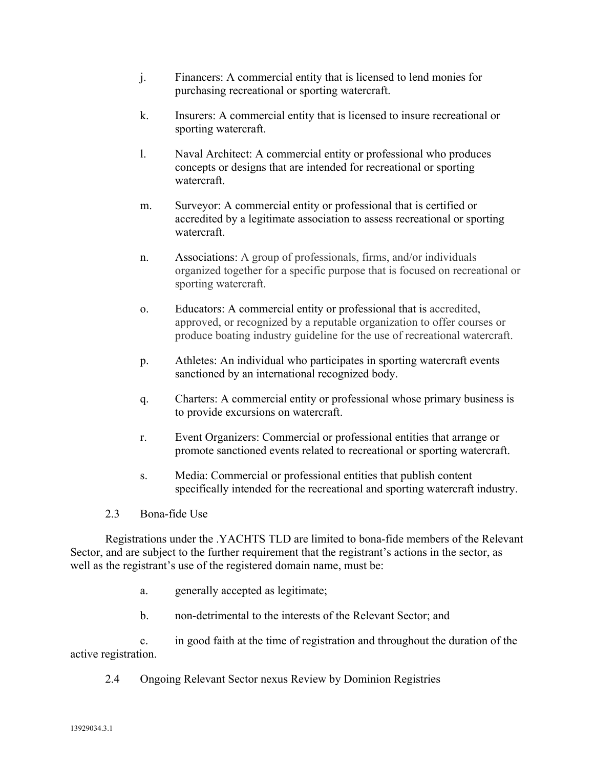- j. Financers: A commercial entity that is licensed to lend monies for purchasing recreational or sporting watercraft.
- k. Insurers: A commercial entity that is licensed to insure recreational or sporting watercraft.
- l. Naval Architect: A commercial entity or professional who produces concepts or designs that are intended for recreational or sporting watercraft.
- m. Surveyor: A commercial entity or professional that is certified or accredited by a legitimate association to assess recreational or sporting watercraft.
- n. Associations: A group of professionals, firms, and/or individuals organized together for a specific purpose that is focused on recreational or sporting watercraft.
- o. Educators: A commercial entity or professional that is accredited, approved, or recognized by a reputable organization to offer courses or produce boating industry guideline for the use of recreational watercraft.
- p. Athletes: An individual who participates in sporting watercraft events sanctioned by an international recognized body.
- q. Charters: A commercial entity or professional whose primary business is to provide excursions on watercraft.
- r. Event Organizers: Commercial or professional entities that arrange or promote sanctioned events related to recreational or sporting watercraft.
- s. Media: Commercial or professional entities that publish content specifically intended for the recreational and sporting watercraft industry.
- 2.3 Bona-fide Use

Registrations under the .YACHTS TLD are limited to bona-fide members of the Relevant Sector, and are subject to the further requirement that the registrant's actions in the sector, as well as the registrant's use of the registered domain name, must be:

- a. generally accepted as legitimate;
- b. non-detrimental to the interests of the Relevant Sector; and

c. in good faith at the time of registration and throughout the duration of the active registration.

2.4 Ongoing Relevant Sector nexus Review by Dominion Registries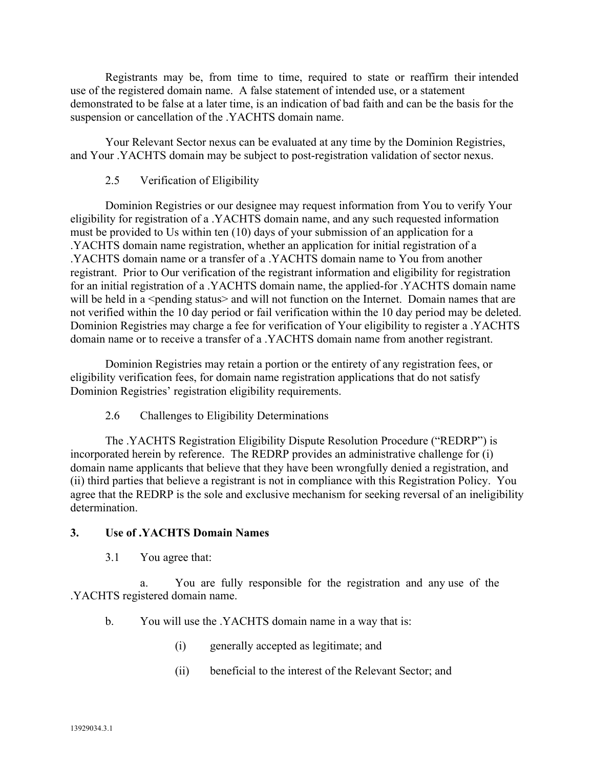Registrants may be, from time to time, required to state or reaffirm their intended use of the registered domain name. A false statement of intended use, or a statement demonstrated to be false at a later time, is an indication of bad faith and can be the basis for the suspension or cancellation of the .YACHTS domain name.

Your Relevant Sector nexus can be evaluated at any time by the Dominion Registries, and Your .YACHTS domain may be subject to post-registration validation of sector nexus.

#### 2.5 Verification of Eligibility

Dominion Registries or our designee may request information from You to verify Your eligibility for registration of a .YACHTS domain name, and any such requested information must be provided to Us within ten (10) days of your submission of an application for a .YACHTS domain name registration, whether an application for initial registration of a .YACHTS domain name or a transfer of a .YACHTS domain name to You from another registrant. Prior to Our verification of the registrant information and eligibility for registration for an initial registration of a .YACHTS domain name, the applied-for .YACHTS domain name will be held in a <pending status> and will not function on the Internet. Domain names that are not verified within the 10 day period or fail verification within the 10 day period may be deleted. Dominion Registries may charge a fee for verification of Your eligibility to register a .YACHTS domain name or to receive a transfer of a .YACHTS domain name from another registrant.

Dominion Registries may retain a portion or the entirety of any registration fees, or eligibility verification fees, for domain name registration applications that do not satisfy Dominion Registries' registration eligibility requirements.

2.6 Challenges to Eligibility Determinations

The .YACHTS Registration Eligibility Dispute Resolution Procedure ("REDRP") is incorporated herein by reference. The REDRP provides an administrative challenge for (i) domain name applicants that believe that they have been wrongfully denied a registration, and (ii) third parties that believe a registrant is not in compliance with this Registration Policy. You agree that the REDRP is the sole and exclusive mechanism for seeking reversal of an ineligibility determination.

#### **3. Use of .YACHTS Domain Names**

3.1 You agree that:

a. You are fully responsible for the registration and any use of the .YACHTS registered domain name.

- b. You will use the .YACHTS domain name in a way that is:
	- (i) generally accepted as legitimate; and
	- (ii) beneficial to the interest of the Relevant Sector; and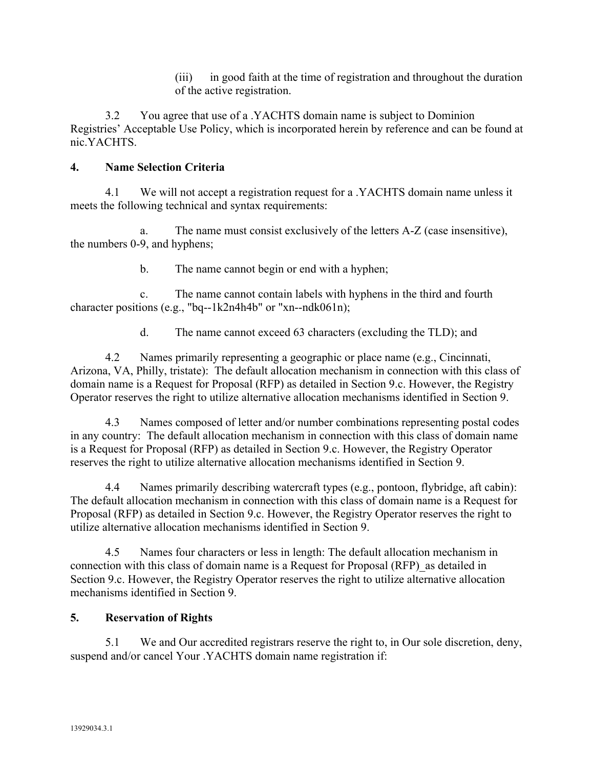(iii) in good faith at the time of registration and throughout the duration of the active registration.

3.2 You agree that use of a .YACHTS domain name is subject to Dominion Registries' Acceptable Use Policy, which is incorporated herein by reference and can be found at nic.YACHTS.

#### **4. Name Selection Criteria**

4.1 We will not accept a registration request for a .YACHTS domain name unless it meets the following technical and syntax requirements:

a. The name must consist exclusively of the letters A-Z (case insensitive), the numbers 0-9, and hyphens;

b. The name cannot begin or end with a hyphen;

c. The name cannot contain labels with hyphens in the third and fourth character positions (e.g., "bq--1k2n4h4b" or "xn--ndk061n);

d. The name cannot exceed 63 characters (excluding the TLD); and

4.2 Names primarily representing a geographic or place name (e.g., Cincinnati, Arizona, VA, Philly, tristate): The default allocation mechanism in connection with this class of domain name is a Request for Proposal (RFP) as detailed in Section 9.c. However, the Registry Operator reserves the right to utilize alternative allocation mechanisms identified in Section 9.

4.3 Names composed of letter and/or number combinations representing postal codes in any country: The default allocation mechanism in connection with this class of domain name is a Request for Proposal (RFP) as detailed in Section 9.c. However, the Registry Operator reserves the right to utilize alternative allocation mechanisms identified in Section 9.

4.4 Names primarily describing watercraft types (e.g., pontoon, flybridge, aft cabin): The default allocation mechanism in connection with this class of domain name is a Request for Proposal (RFP) as detailed in Section 9.c. However, the Registry Operator reserves the right to utilize alternative allocation mechanisms identified in Section 9.

4.5 Names four characters or less in length: The default allocation mechanism in connection with this class of domain name is a Request for Proposal (RFP) as detailed in Section 9.c. However, the Registry Operator reserves the right to utilize alternative allocation mechanisms identified in Section 9.

## **5. Reservation of Rights**

5.1 We and Our accredited registrars reserve the right to, in Our sole discretion, deny, suspend and/or cancel Your .YACHTS domain name registration if: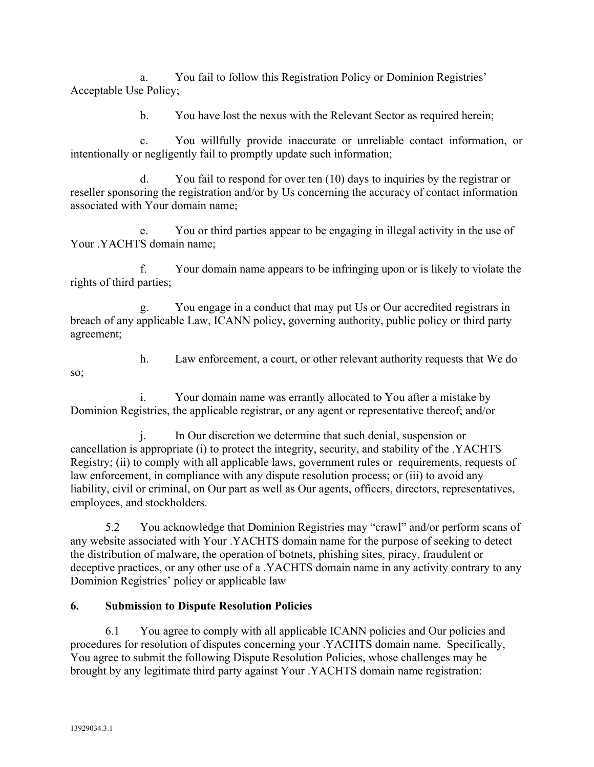a. You fail to follow this Registration Policy or Dominion Registries' Acceptable Use Policy;

b. You have lost the nexus with the Relevant Sector as required herein;

c. You willfully provide inaccurate or unreliable contact information, or intentionally or negligently fail to promptly update such information;

d. You fail to respond for over ten (10) days to inquiries by the registrar or reseller sponsoring the registration and/or by Us concerning the accuracy of contact information associated with Your domain name;

e. You or third parties appear to be engaging in illegal activity in the use of Your .YACHTS domain name;

f. Your domain name appears to be infringing upon or is likely to violate the rights of third parties;

g. You engage in a conduct that may put Us or Our accredited registrars in breach of any applicable Law, ICANN policy, governing authority, public policy or third party agreement;

so;

h. Law enforcement, a court, or other relevant authority requests that We do

i. Your domain name was errantly allocated to You after a mistake by Dominion Registries, the applicable registrar, or any agent or representative thereof; and/or

j. In Our discretion we determine that such denial, suspension or cancellation is appropriate (i) to protect the integrity, security, and stability of the .YACHTS Registry; (ii) to comply with all applicable laws, government rules or requirements, requests of law enforcement, in compliance with any dispute resolution process; or (iii) to avoid any liability, civil or criminal, on Our part as well as Our agents, officers, directors, representatives, employees, and stockholders.

5.2 You acknowledge that Dominion Registries may "crawl" and/or perform scans of any website associated with Your .YACHTS domain name for the purpose of seeking to detect the distribution of malware, the operation of botnets, phishing sites, piracy, fraudulent or deceptive practices, or any other use of a .YACHTS domain name in any activity contrary to any Dominion Registries' policy or applicable law

## **6. Submission to Dispute Resolution Policies**

6.1 You agree to comply with all applicable ICANN policies and Our policies and procedures for resolution of disputes concerning your .YACHTS domain name. Specifically, You agree to submit the following Dispute Resolution Policies, whose challenges may be brought by any legitimate third party against Your .YACHTS domain name registration: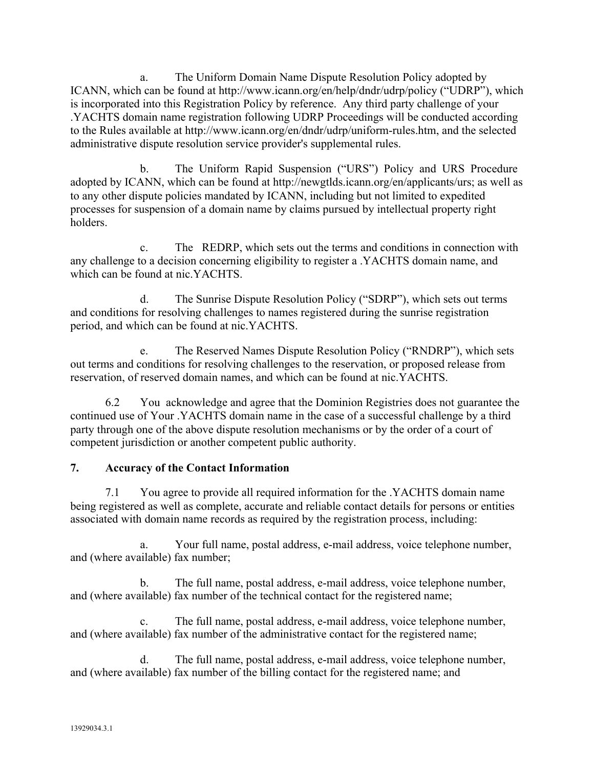a. The Uniform Domain Name Dispute Resolution Policy adopted by ICANN, which can be found at http://www.icann.org/en/help/dndr/udrp/policy ("UDRP"), which is incorporated into this Registration Policy by reference. Any third party challenge of your .YACHTS domain name registration following UDRP Proceedings will be conducted according to the Rules available at http://www.icann.org/en/dndr/udrp/uniform-rules.htm, and the selected administrative dispute resolution service provider's supplemental rules.

b. The Uniform Rapid Suspension ("URS") Policy and URS Procedure adopted by ICANN, which can be found at http://newgtlds.icann.org/en/applicants/urs; as well as to any other dispute policies mandated by ICANN, including but not limited to expedited processes for suspension of a domain name by claims pursued by intellectual property right holders.

c. The REDRP, which sets out the terms and conditions in connection with any challenge to a decision concerning eligibility to register a .YACHTS domain name, and which can be found at nic.YACHTS.

d. The Sunrise Dispute Resolution Policy ("SDRP"), which sets out terms and conditions for resolving challenges to names registered during the sunrise registration period, and which can be found at nic.YACHTS.

e. The Reserved Names Dispute Resolution Policy ("RNDRP"), which sets out terms and conditions for resolving challenges to the reservation, or proposed release from reservation, of reserved domain names, and which can be found at nic.YACHTS.

6.2 You acknowledge and agree that the Dominion Registries does not guarantee the continued use of Your .YACHTS domain name in the case of a successful challenge by a third party through one of the above dispute resolution mechanisms or by the order of a court of competent jurisdiction or another competent public authority.

## **7. Accuracy of the Contact Information**

7.1 You agree to provide all required information for the .YACHTS domain name being registered as well as complete, accurate and reliable contact details for persons or entities associated with domain name records as required by the registration process, including:

a. Your full name, postal address, e-mail address, voice telephone number, and (where available) fax number;

b. The full name, postal address, e-mail address, voice telephone number, and (where available) fax number of the technical contact for the registered name;

c. The full name, postal address, e-mail address, voice telephone number, and (where available) fax number of the administrative contact for the registered name;

d. The full name, postal address, e-mail address, voice telephone number, and (where available) fax number of the billing contact for the registered name; and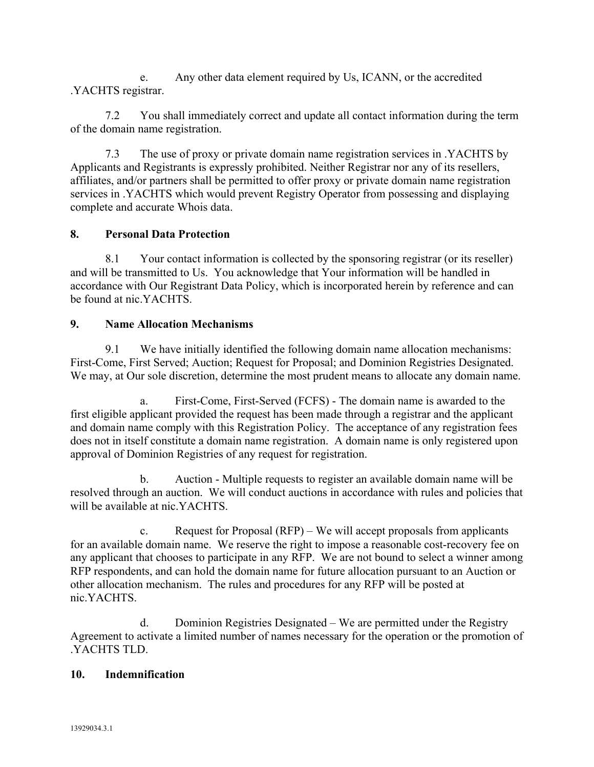e. Any other data element required by Us, ICANN, or the accredited .YACHTS registrar.

7.2 You shall immediately correct and update all contact information during the term of the domain name registration.

7.3 The use of proxy or private domain name registration services in .YACHTS by Applicants and Registrants is expressly prohibited. Neither Registrar nor any of its resellers, affiliates, and/or partners shall be permitted to offer proxy or private domain name registration services in .YACHTS which would prevent Registry Operator from possessing and displaying complete and accurate Whois data.

# **8. Personal Data Protection**

8.1 Your contact information is collected by the sponsoring registrar (or its reseller) and will be transmitted to Us. You acknowledge that Your information will be handled in accordance with Our Registrant Data Policy, which is incorporated herein by reference and can be found at nic.YACHTS.

## **9. Name Allocation Mechanisms**

9.1 We have initially identified the following domain name allocation mechanisms: First-Come, First Served; Auction; Request for Proposal; and Dominion Registries Designated. We may, at Our sole discretion, determine the most prudent means to allocate any domain name.

a. First-Come, First-Served (FCFS) - The domain name is awarded to the first eligible applicant provided the request has been made through a registrar and the applicant and domain name comply with this Registration Policy. The acceptance of any registration fees does not in itself constitute a domain name registration. A domain name is only registered upon approval of Dominion Registries of any request for registration.

b. Auction - Multiple requests to register an available domain name will be resolved through an auction. We will conduct auctions in accordance with rules and policies that will be available at nic.YACHTS.

c. Request for Proposal (RFP) – We will accept proposals from applicants for an available domain name. We reserve the right to impose a reasonable cost-recovery fee on any applicant that chooses to participate in any RFP. We are not bound to select a winner among RFP respondents, and can hold the domain name for future allocation pursuant to an Auction or other allocation mechanism. The rules and procedures for any RFP will be posted at nic.YACHTS.

d. Dominion Registries Designated – We are permitted under the Registry Agreement to activate a limited number of names necessary for the operation or the promotion of .YACHTS TLD.

## **10. Indemnification**